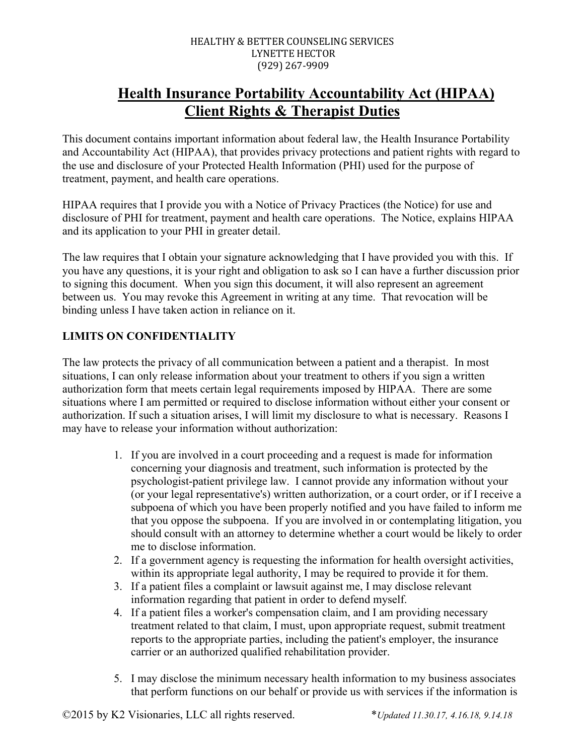# **Health Insurance Portability Accountability Act (HIPAA) Client Rights & Therapist Duties**

This document contains important information about federal law, the Health Insurance Portability and Accountability Act (HIPAA), that provides privacy protections and patient rights with regard to the use and disclosure of your Protected Health Information (PHI) used for the purpose of treatment, payment, and health care operations.

HIPAA requires that I provide you with a Notice of Privacy Practices (the Notice) for use and disclosure of PHI for treatment, payment and health care operations. The Notice, explains HIPAA and its application to your PHI in greater detail.

The law requires that I obtain your signature acknowledging that I have provided you with this. If you have any questions, it is your right and obligation to ask so I can have a further discussion prior to signing this document. When you sign this document, it will also represent an agreement between us. You may revoke this Agreement in writing at any time. That revocation will be binding unless I have taken action in reliance on it.

# **LIMITS ON CONFIDENTIALITY**

The law protects the privacy of all communication between a patient and a therapist. In most situations, I can only release information about your treatment to others if you sign a written authorization form that meets certain legal requirements imposed by HIPAA. There are some situations where I am permitted or required to disclose information without either your consent or authorization. If such a situation arises, I will limit my disclosure to what is necessary. Reasons I may have to release your information without authorization:

- 1. If you are involved in a court proceeding and a request is made for information concerning your diagnosis and treatment, such information is protected by the psychologist-patient privilege law. I cannot provide any information without your (or your legal representative's) written authorization, or a court order, or if I receive a subpoena of which you have been properly notified and you have failed to inform me that you oppose the subpoena. If you are involved in or contemplating litigation, you should consult with an attorney to determine whether a court would be likely to order me to disclose information.
- 2. If a government agency is requesting the information for health oversight activities, within its appropriate legal authority, I may be required to provide it for them.
- 3. If a patient files a complaint or lawsuit against me, I may disclose relevant information regarding that patient in order to defend myself.
- 4. If a patient files a worker's compensation claim, and I am providing necessary treatment related to that claim, I must, upon appropriate request, submit treatment reports to the appropriate parties, including the patient's employer, the insurance carrier or an authorized qualified rehabilitation provider.
- 5. I may disclose the minimum necessary health information to my business associates that perform functions on our behalf or provide us with services if the information is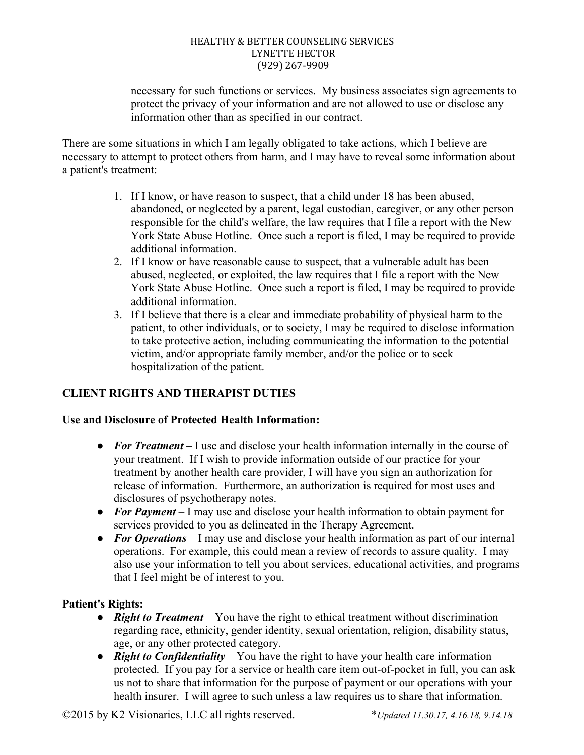necessary for such functions or services. My business associates sign agreements to protect the privacy of your information and are not allowed to use or disclose any information other than as specified in our contract.

There are some situations in which I am legally obligated to take actions, which I believe are necessary to attempt to protect others from harm, and I may have to reveal some information about a patient's treatment:

- 1. If I know, or have reason to suspect, that a child under 18 has been abused, abandoned, or neglected by a parent, legal custodian, caregiver, or any other person responsible for the child's welfare, the law requires that I file a report with the New York State Abuse Hotline. Once such a report is filed, I may be required to provide additional information.
- 2. If I know or have reasonable cause to suspect, that a vulnerable adult has been abused, neglected, or exploited, the law requires that I file a report with the New York State Abuse Hotline. Once such a report is filed, I may be required to provide additional information.
- 3. If I believe that there is a clear and immediate probability of physical harm to the patient, to other individuals, or to society, I may be required to disclose information to take protective action, including communicating the information to the potential victim, and/or appropriate family member, and/or the police or to seek hospitalization of the patient.

# **CLIENT RIGHTS AND THERAPIST DUTIES**

## **Use and Disclosure of Protected Health Information:**

- **For Treatment** I use and disclose your health information internally in the course of your treatment. If I wish to provide information outside of our practice for your treatment by another health care provider, I will have you sign an authorization for release of information. Furthermore, an authorization is required for most uses and disclosures of psychotherapy notes.
- **For Payment** I may use and disclose your health information to obtain payment for services provided to you as delineated in the Therapy Agreement.
- *For Operations* I may use and disclose your health information as part of our internal operations. For example, this could mean a review of records to assure quality. I may also use your information to tell you about services, educational activities, and programs that I feel might be of interest to you.

## **Patient's Rights:**

- *Right to Treatment* You have the right to ethical treatment without discrimination regarding race, ethnicity, gender identity, sexual orientation, religion, disability status, age, or any other protected category.
- *Right to Confidentiality* You have the right to have your health care information protected. If you pay for a service or health care item out-of-pocket in full, you can ask us not to share that information for the purpose of payment or our operations with your health insurer. I will agree to such unless a law requires us to share that information.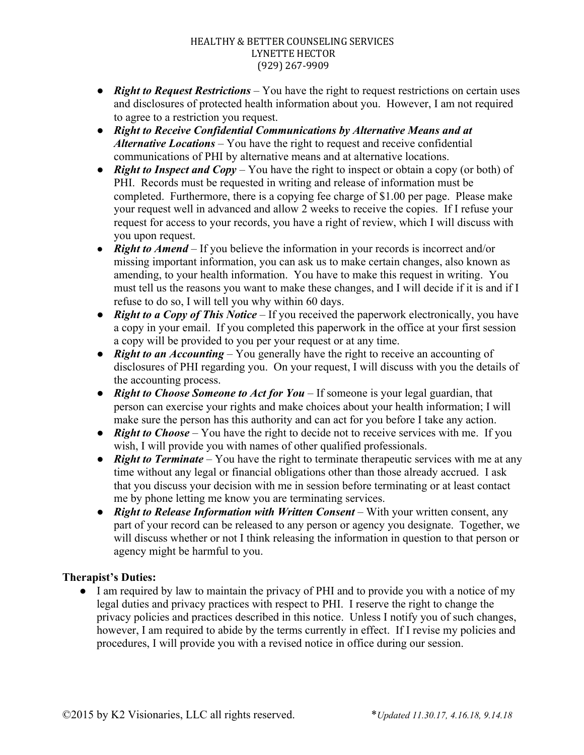- *Right to Request Restrictions* You have the right to request restrictions on certain uses and disclosures of protected health information about you. However, I am not required to agree to a restriction you request.
- *Right to Receive Confidential Communications by Alternative Means and at Alternative Locations –* You have the right to request and receive confidential communications of PHI by alternative means and at alternative locations.
- *Right to Inspect and Copy* You have the right to inspect or obtain a copy (or both) of PHI. Records must be requested in writing and release of information must be completed. Furthermore, there is a copying fee charge of \$1.00 per page. Please make your request well in advanced and allow 2 weeks to receive the copies. If I refuse your request for access to your records, you have a right of review, which I will discuss with you upon request.
- **Right to Amend** If you believe the information in your records is incorrect and/or missing important information, you can ask us to make certain changes, also known as amending, to your health information. You have to make this request in writing. You must tell us the reasons you want to make these changes, and I will decide if it is and if I refuse to do so, I will tell you why within 60 days.
- *Right to a Copy of This Notice –* If you received the paperwork electronically, you have a copy in your email. If you completed this paperwork in the office at your first session a copy will be provided to you per your request or at any time.
- *Right to an Accounting* You generally have the right to receive an accounting of disclosures of PHI regarding you. On your request, I will discuss with you the details of the accounting process.
- *Right to Choose Someone to Act for You –* If someone is your legal guardian, that person can exercise your rights and make choices about your health information; I will make sure the person has this authority and can act for you before I take any action.
- **Right to Choose** You have the right to decide not to receive services with me. If you wish, I will provide you with names of other qualified professionals.
- *Right to Terminate* You have the right to terminate therapeutic services with me at any time without any legal or financial obligations other than those already accrued. I ask that you discuss your decision with me in session before terminating or at least contact me by phone letting me know you are terminating services.
- *Right to Release Information with Written Consent* With your written consent, any part of your record can be released to any person or agency you designate. Together, we will discuss whether or not I think releasing the information in question to that person or agency might be harmful to you.

## **Therapist's Duties:**

● I am required by law to maintain the privacy of PHI and to provide you with a notice of my legal duties and privacy practices with respect to PHI. I reserve the right to change the privacy policies and practices described in this notice. Unless I notify you of such changes, however, I am required to abide by the terms currently in effect. If I revise my policies and procedures, I will provide you with a revised notice in office during our session.